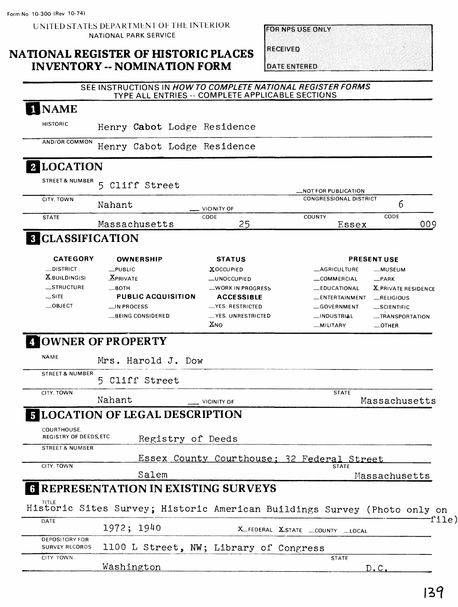UNITED STATES DEPARTMENT OF THE INTERIOR NATIONAL PARK SERVICE

#### **NATIONAL REGISTER OF HISTORIC PLACES INVENTORY -- NOMINATION FORM**

| <b>FOR NPS USE ONLY</b> |  |  |
|-------------------------|--|--|
|                         |  |  |

**RECEIVED** 

**DATE ENTERED** 

|                                                | SEE INSTRUCTIONS IN HOW TO COMPLETE NATIONAL REGISTER FORMS<br>TYPE ALL ENTRIES -- COMPLETE APPLICABLE SECTIONS |                      |                                                                          |
|------------------------------------------------|-----------------------------------------------------------------------------------------------------------------|----------------------|--------------------------------------------------------------------------|
| 1 NAME                                         |                                                                                                                 |                      |                                                                          |
| <b>HISTORIC</b>                                | Henry Cabot Lodge Residence                                                                                     |                      |                                                                          |
| AND/OR COMMON                                  | Henry Cabot Lodge Residence                                                                                     |                      |                                                                          |
| 2 LOCATION                                     |                                                                                                                 |                      |                                                                          |
| <b>STREET &amp; NUMBER</b>                     | Cliff Street<br>5                                                                                               |                      | _NOT FOR PUBLICATION                                                     |
| CITY, TOWN                                     | Nahant                                                                                                          | VICINITY OF          | <b>CONGRESSIONAL DISTRICT</b><br>6                                       |
| <b>STATE</b>                                   | Massachusetts                                                                                                   | CODE<br>25           | CODE<br>COUNTY<br>009<br>Essex                                           |
| <b>8 CLASSIFICATION</b>                        |                                                                                                                 |                      |                                                                          |
| <b>CATEGORY</b>                                | <b>OWNERSHIP</b>                                                                                                | <b>STATUS</b>        | <b>PRESENT USE</b>                                                       |
| __DISTRICT                                     | $L$ PUBLIC                                                                                                      | <b>XOCCUPIED</b>     | <b>_AGRICULTURE</b><br>__MUSEUM                                          |
| $X$ BUILDING(S)                                | <b>XPRIVATE</b>                                                                                                 | <b>__UNOCCUPIED</b>  | _COMMERCIAL<br>$-$ PARK                                                  |
| __STRUCTURE                                    | —вотн                                                                                                           | _WORK IN PROGRESS    | <b>LEDUCATIONAL</b><br><b>X</b> PRIVATE RESIDENCE                        |
| $\equiv$ SITE                                  | <b>PUBLIC ACQUISITION</b>                                                                                       | <b>ACCESSIBLE</b>    | <b>LENTERTAINMENT</b><br>RELIGIOUS                                       |
| $\sqrt{\phantom{a}}$ OBJECT                    | __IN PROCESS                                                                                                    | -YES: RESTRICTED     | GOVERNMENT<br>SCIENTIFIC                                                 |
|                                                | __BEING CONSIDERED                                                                                              | __ YES. UNRESTRICTED | __INDUSTRIAL<br>-TRANSPORTATION                                          |
|                                                |                                                                                                                 | XNO                  | _MILITARY<br>_OTHER.                                                     |
| <b>NAME</b>                                    | OWNER OF PROPERTY<br>Mrs. Harold J. Dow                                                                         |                      |                                                                          |
| <b>STREET &amp; NUMBER</b>                     | 5 Cliff Street                                                                                                  |                      |                                                                          |
| CITY, TOWN                                     |                                                                                                                 |                      | <b>STATE</b>                                                             |
|                                                | Nahant                                                                                                          | <b>VICINITY OF</b>   | Massachusetts                                                            |
|                                                | <b>5 LOCATION OF LEGAL DESCRIPTION</b>                                                                          |                      |                                                                          |
| COURTHOUSE.<br>REGISTRY OF DEEDS, ETC          | Registry of Deeds                                                                                               |                      |                                                                          |
| <b>STREET &amp; NUMBER</b>                     |                                                                                                                 |                      | Essex County Courthouse: 32 Federal Street                               |
| CITY, TOWN                                     | Salem                                                                                                           |                      | <b>STATE</b><br>Massachusetts                                            |
|                                                | <b>6 REPRESENTATION IN EXISTING SURVEYS</b>                                                                     |                      |                                                                          |
|                                                |                                                                                                                 |                      | Historic Sites Survey; Historic American Buildings Survey (Photo only on |
| DATE                                           | 1972; 1940                                                                                                      |                      | X_FEDERAL X_STATE _COUNTY __LOCAL                                        |
| <b>DEPOSITORY FOR</b><br><b>SURVEY RECORDS</b> | 1100 L Street, NW; Library of Congress                                                                          |                      |                                                                          |
| CITY TOWN                                      |                                                                                                                 |                      | <b>STATE</b>                                                             |
|                                                | Washington                                                                                                      |                      | D.C.                                                                     |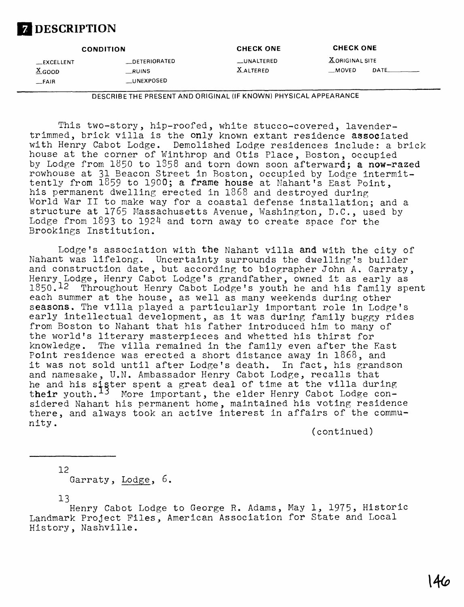## **Z** DESCRIPTION

|                                                | <b>CONDITION</b>                       | <b>CHECK ONE</b>               | <b>CHECK ONE</b>         |       |
|------------------------------------------------|----------------------------------------|--------------------------------|--------------------------|-------|
| __EXCELLENT<br>$X$ <sub>GOOD</sub><br>$-$ FAIR | __DETERIORATED<br>RUINS<br>__UNEXPOSED | __UNALTERED<br><b>XALTERED</b> | X ORIGINAL SITE<br>MOVED | DATE_ |

DESCRIBETHE PRESENT AND ORIGINAL (IF KNOWN) PHYSICAL APPEARANCE

This two-story, hip-roofed, white stucco-covered, lavendertrimmed, brick villa is the only known extant residence associated with Henry Cabot Lodge. Demolished Lodge residences include: a brick house at the corner of Winthrop and Otis Place, Boston, occupied by Lodge from 1850 to 1858 and torn down soon afterward; a now-razed rowhouse at 31 Beacon Street in Boston, occupied by Lodge intermittently from 1859 to 1900; a frame house at Nahant's East Point, his permanent dwelling erected in 1868 and destroyed during World War II to make way for a coastal defense installation; and a structure at 1765 Massachusetts Avenue, Washington, D.C., used by Lodge from 1893 to 1924 and torn away to create space for the Brookings Institution.

Lodge's association with the Nahant villa and with the city of Nahant was lifelong. Uncertainty surrounds the dwelling's builder and construction date, but according to biographer John A. Garraty, Henry Lodge, Henry Cabot Lodge's grandfather, owned it as early as 1850.12 Throughout Henry Cabot Lodge's youth he and his family spent each summer at the house, as well as many weekends during other seasons. The villa played a particularly important role in Lodge's early intellectual development, as it was during family buggy rides from Boston to Nahant that his father introduced him to many of the world's literary masterpieces and whetted his thirst for knowledge. The villa remained in the family even after the East Point residence was erected a short distance away in 1868, and it was not sold until after Lodge's death. In fact, his grandson and namesake, U.N. Ambassador Henry Cabot Lodge, recalls that he and his sister spent a great deal of time at the villa during t**heir** youth.<sup>13</sup> More important, the elder Henry Cabot Lodge considered Nahant his permanent home, maintained his voting residence there, and always took an active interest in affairs of the community.

(continued)

12 Garraty, Lodge, 6.

13

Henry Cabot Lodge to George R. Adams, May 1, 1975, Historic Landmark Project Files, American Association for State and Local History, Nashville.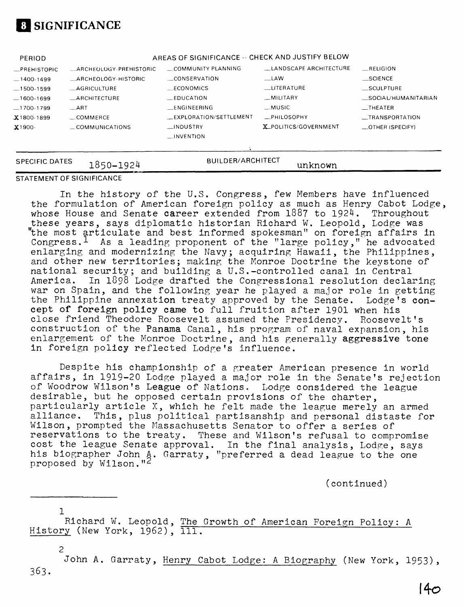

| <b>SPECIFIC DATES</b> | 1850-1924               | <b>BUILDER/ARCHITECT</b>                         | unknown                |                                  |
|-----------------------|-------------------------|--------------------------------------------------|------------------------|----------------------------------|
|                       |                         |                                                  |                        |                                  |
|                       |                         | $\Box$ INVENTION                                 |                        |                                  |
| $X1900 -$             | COMMUNICATIONS          | <b>INDUSTRY</b>                                  | X_POLITICS/GOVERNMENT  | _OTHER (SPECIFY)                 |
| $X1800-1899$          | $\equiv$ COMMERCE       | _EXPLORATION/SETTLEMENT                          | $_{\rm -}$ PHILOSOPHY  | __TRANSPORTATION                 |
| $-1700-1799$          | $-ART$                  | <b>LENGINEERING</b>                              | __MUSIC                | $\overline{\phantom{0}}$ THEATER |
| $-1600-1699$          | <b>ARCHITECTURE</b>     | $_{\text{FDUCATION}}$                            | <b>MILITARY</b>        | SOCIAL/HUMANITARIAN              |
| $-1500-1599$          | <b>AGRICULTURE</b>      | ECONOMICS                                        | LITERATURE             | SCULPTURE                        |
| $-1400-1499$          | ARCHEOLOGY-HISTORIC     | __CONSERVATION                                   | $\mathsf{LAW}$         | $\_$ SCIENCE                     |
| _PREHISTORIC          | _ARCHEOLOGY-PREHISTORIC | COMMUNITY PLANNING                               | LANDSCAPE ARCHITECTURE | RELIGION                         |
| PERIOD                |                         | AREAS OF SIGNIFICANCE -- CHECK AND JUSTIFY BELOW |                        |                                  |

#### **STATEMENT OF SIGNIFICANCE**

In the history of the U.S. Congress, few Members have influenced the formulation of American foreign policy as much as Henry Cabot Lodge, whose House and Senate career extended from 1887 to 1924. Throughout these years, says diplomatic historian Richard W. Leopold, Lodge was "the most articulate and best informed spokesman" on foreign affairs in Congress.<sup>1</sup> As a leading proponent of the "large policy," he advocated enlarging and modernizing the Navy; acquiring Hawaii, the Philippines, and other new territories; making the Monroe Doctrine the keystone of national security; and building a U.S.-controlled canal in Central<br>America. In 1898 Lodge drafted the Congressional resolution decla In 1898 Lodge drafted the Congressional resolution declaring war on Spain, and the following year he played a major role in getting the Philippine annexation treaty approved by the Senate. Lodge's concept of foreign policy came to full fruition after 1901 when his close friend Theodore Roosevelt assumed the Presidency. Roosevelt's construction of the Panama Canal, his program of naval expansion, his enlargement of the Monroe Doctrine, and his generally aggressive tone in foreign policy reflected Lodge's influence.

Despite his championship of a greater American presence in world affairs, in 1919-20 Lodge played a major role in the Senate's rejection of Woodrow Wilson's League of Nations. Lodge considered the league desirable, but he opposed certain provisions of the charter, particularly article X, which he felt made the league merely an armed alliance. This, plus political partisanship and personal distaste for Wilson, prompted the Massachusetts Senator to offer a series of reservations to the treaty. These and Wilson's refusal to compromise cost the league Senate approval. In the final analysis, Lodge, says his biographer John A. Garraty, "preferred a dead league to the one proposed by Wilson."<sup>2</sup>

(continued)

 $\mathbf{1}$ Richard W. Leopold, The Growth of American Foreign Policy: A History (New York, 1962), 111.

2 John A. Garraty, Henry Cabot Lodge: A Biography (New York, 1953), 363.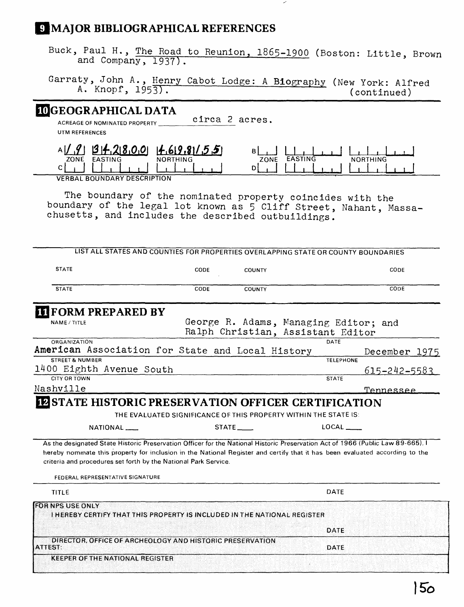## *S* MAJOR BIBLIOGRAPHICAL REFERENCES

Buck, Paul H., The Road to Reunion, 1865-1900 (Boston: Little, Brown and Company, 1937).

Garraty, John A., Henry Cabot Lodge: A Biography (New York: Alfred  $A$ . Knopf,  $1953$ .  $(continued)$ 

#### **3GEOGRAPHICAL DATA**

**ACREAGE OF NOMINATED PROPERTY \_\_\_\_\_**  circa 2 acres.

**UTM REFERENCES**

| - 13 44.71 X.A.O. | (14.619.81/5.5) |      |      |     |
|-------------------|-----------------|------|------|-----|
| ZONE              | <b>NORTHING</b> | ZONE | 700C | ING |
| ∽                 |                 |      |      |     |

**VERBAL BOUNDARY DESCRIPTION**

The boundary of the nominated property coincides with the boundary of the legal lot known as 5 Cliff Street, Nahant, Massachusetts, and includes the described outbuildings.

| LIST ALL STATES AND COUNTIES FOR PROPERTIES OVERLAPPING STATE OR COUNTY BOUNDARIES                                                                                                                                                                                                                                                                                     |      |               |                                                                            |                    |
|------------------------------------------------------------------------------------------------------------------------------------------------------------------------------------------------------------------------------------------------------------------------------------------------------------------------------------------------------------------------|------|---------------|----------------------------------------------------------------------------|--------------------|
| <b>STATE</b>                                                                                                                                                                                                                                                                                                                                                           | CODE | COUNTY        |                                                                            | CODE               |
| <b>STATE</b>                                                                                                                                                                                                                                                                                                                                                           | CODE | <b>COUNTY</b> |                                                                            | CODE               |
| <b>TE FORM PREPARED BY</b>                                                                                                                                                                                                                                                                                                                                             |      |               |                                                                            |                    |
| <b>NAME / TITLE</b>                                                                                                                                                                                                                                                                                                                                                    |      |               | George R. Adams, Managing Editor; and<br>Ralph Christian, Assistant Editor |                    |
| <b>ORGANIZATION</b>                                                                                                                                                                                                                                                                                                                                                    |      |               | DATE                                                                       |                    |
| American Association for State and Local History                                                                                                                                                                                                                                                                                                                       |      |               |                                                                            | December 1975      |
| <b>STREET &amp; NUMBER</b>                                                                                                                                                                                                                                                                                                                                             |      |               | <b>TELEPHONE</b>                                                           |                    |
| 1400 Eighth Avenue South                                                                                                                                                                                                                                                                                                                                               |      |               |                                                                            | $615 - 242 - 5583$ |
| CITY OR TOWN                                                                                                                                                                                                                                                                                                                                                           |      |               | <b>STATE</b>                                                               |                    |
| Nashville                                                                                                                                                                                                                                                                                                                                                              |      |               |                                                                            | Tennessee          |
| NATIONAL <sub>-</sub>                                                                                                                                                                                                                                                                                                                                                  |      | STATE_____    | THE EVALUATED SIGNIFICANCE OF THIS PROPERTY WITHIN THE STATE IS:           |                    |
| As the designated State Historic Preservation Officer for the National Historic Preservation Act of 1966 (Public Law 89-665). I<br>hereby nominate this property for inclusion in the National Register and certify that it has been evaluated according to the<br>criteria and procedures set forth by the National Park Service.<br>FEDERAL REPRESENTATIVE SIGNATURE |      |               |                                                                            |                    |
| <b>TITLE</b>                                                                                                                                                                                                                                                                                                                                                           |      |               | <b>DATE</b>                                                                |                    |
| <b>FOR NPS USE ONLY</b><br>I HEREBY CERTIFY THAT THIS PROPERTY IS INCLUDED IN THE NATIONAL REGISTER                                                                                                                                                                                                                                                                    |      |               |                                                                            |                    |
|                                                                                                                                                                                                                                                                                                                                                                        |      |               | DATE                                                                       |                    |
| DIRECTOR, OFFICE OF ARCHEOLOGY AND HISTORIC PRESERVATION<br>ATTEST:                                                                                                                                                                                                                                                                                                    |      |               | <b>DATE</b>                                                                |                    |
| <b>KEEPER OF THE NATIONAL REGISTER</b>                                                                                                                                                                                                                                                                                                                                 |      |               |                                                                            |                    |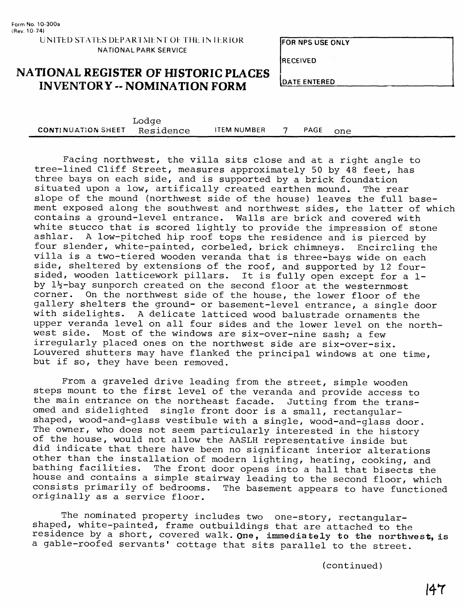**RECEIVED** 

## **NATIONAL REGISTER OF HISTORIC PLACES INVENTORY -- NOMINATION FORM**

**DATE ENTERED** 

|                           | <b>Toqde</b> |                    |      |     |  |
|---------------------------|--------------|--------------------|------|-----|--|
| <b>CONTINUATION SHEET</b> | Residence    | <b>ITEM NUMBER</b> | PAGE | one |  |

Facing northwest, the villa sits close and at a right angle to tree-lined Cliff Street, measures approximately 50 by 48 feet, has three bays on each side, and is supported by a brick foundation<br>situated upon a low, artifically created earthen mound. The rear situated upon a low, artifically created earthen mound. slope of the mound (northwest side of the house) leaves the full basement exposed along the southwest and northwest sides, the latter of which contains a ground-level entrance. Walls are brick and covered with white stucco that is scored lightly to provide the impression of stone ashlar. A low-pitched hip roof tops the residence and is pierced by A low-pitched hip roof tops the residence and is pierced by four slender, white-painted, corbeled, brick chimneys. Encircling the villa is a two-tiered wooden veranda that is three-bays wide on each side, sheltered by extensions of the roof, and supported by 12 foursided, wooden latticework pillars. It is fully open except for a 1 by 1<sup>1</sup>/<sub>2</sub>-bay sunporch created on the second floor at the westernmost corner. On the northwest side of the house, the lower floor of the gallery shelters the ground- or basement-level entrance, a single door with sidelights. A delicate latticed wood balustrade ornaments the upper veranda level on all four sides and the lower level on the northwest side. Most of the windows are six-over-nine sash; a few irregularly placed ones on the northwest side are six-over-six. Louvered shutters may have flanked the principal windows at one time, but if so, they have been removed.

From a graveled drive leading from the street, simple wooden steps mount to the first level of the veranda and provide access to the main entrance on the northeast facade. Jutting from the transomed and sidelighted single front door is a small, rectangularshaped, wood-and-glass vestibule with a single, wood-and-glass door. The owner, who does not seem particularly interested in the history of the house, would not allow the AASLH representative inside but did indicate that there have been no significant interior alterations other than the installation of modern lighting, heating, cooking, and bathing facilities. The front door opens into a hall that bisects the house and contains a simple stairway leading to the second floor, which<br>consists primarily of bedrooms. The basement appears to have functioned The basement appears to have functioned originally as a service floor.

The nominated property includes two one-story, rectangularshaped, white-painted, frame outbuildings that are attached to the residence by a short, covered walk. **One, immediately to the northwest, is**  a gable-roofed servants' cottage that sits parallel to the street.

(continued)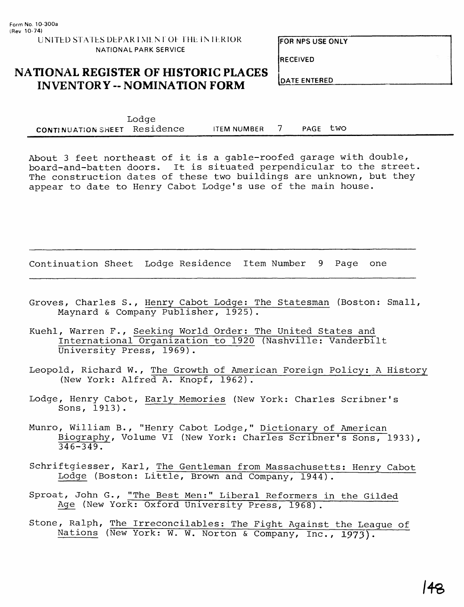**RECEIVED**

# **NATIONAL REGISTER OF HISTORIC PLACES**  $\begin{bmatrix} \text{DATE ENTERED} \\ \text{DATE ENTERED} \end{bmatrix}$

Lodge CONTINUATION SHEET Residence ITEM NUMBER 7 PAGE two

About 3 feet northeast of it is a gable-roofed garage with double, board-and-batten doors. It is situated perpendicular to the street The construction dates of these two buildings are unknown, but they appear to date to Henry Cabot Lodge's use of the main house.

Continuation Sheet Lodge Residence Item Number 9 Page one

- Groves, Charles S., Henry Cabot Lodge: The Statesman (Boston: Small, Maynard & Company Publisher, 1925).
- Kuehl, Warren F., Seeking World Order: The United States and International Organization to 1920 (Nashville: Vanderbilt University Press, 1969) .
- Leopold, Richard W., The Growth of American Foreign Policy: A History (New York: Alfred A. Knopf, 1962).
- Lodge, Henry Cabot, Early Memories (New York: Charles Scribner's Sons, 1913).
- Munro, William B., "Henry Cabot Lodge," Dictionary of American Biography, Volume VI (New York: Charles Scribner's Sons, 1933),  $346 - 349.$
- Schriftgiesser, Karl, The Gentleman from Massachusetts: Henry Cabot Lodge (Boston: Little, Brown and Company, 1944).
- Sproat, John G., "The Best Men:" Liberal Reformers in the Gilded Age (New York: Oxford University Press, 1968).
- Stone, Ralph, The Irreconcilables: The Fight Against the League of Nations (New York: W. W. Norton & Company, Inc., **1973).**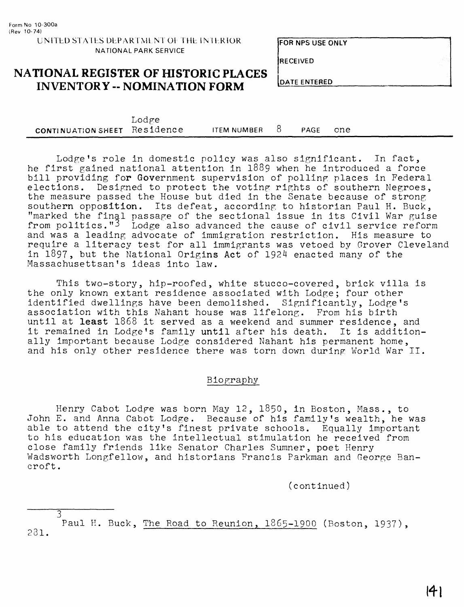**RECEIVED**

#### **NATIONAL REGISTER OF HISTORIC PLACES INVENTORY -- NOMINATION FORM**

|                              | Lodge |                 |      |     |  |
|------------------------------|-------|-----------------|------|-----|--|
| CONTINUATION SHEET Residence |       | ITEM NUMBER $8$ | PAGE | one |  |

Lodge's role in domestic policy was also significant. In fact, he first gained national attention in 1889 when he introduced a force bill providing for Government supervision of polling places in Federal elections. Designed to protect the voting rights of southern Negroes, the measure passed the House but died in the Senate because of strong southern opposition. Its defeat, according to historian Paul H. Buck, "marked the final passage of the sectional issue in its Civil War guise from politics."3 Lodge also advanced the cause of civil service reform and was a leading advocate of immigration restriction. His measure to require a literacy test for all immigrants was vetoed by Grover Cleveland in 1897, but the National Origins Act of 1924 enacted many of the Massachusettsan's ideas into law.

This two-story, hip-roofed, white stucco-covered, brick villa is the only known extant residence associated with Lodge; four other identified dwellings have been demolished. Significantly, Lodge's association with this Nahant house was lifelong. From his birth until at **least** 1868 it served as a weekend and summer residence, and it remained in Lodge's family until after his death. It is additionally important because Lodge considered Nahant his permanent home, and his only other residence there was torn down during World War II.

#### Biography

Henry Cabot Lodge was born May 12, 1850, in Boston, Mass., to John E. and Anna Cabot Lodge. Because of his family's wealth, he was able to attend the city's finest private schools. Equally important to his education was the intellectual stimulation he received from close family friends like Senator Charles Sumner, poet Henry Wadsworth Longfellow, and historians Francis Parkman and George Bancroft.

(continued)

Paul H. Buck, The Road to Reunion, 1865-1900 (Boston, 1937), 281.

3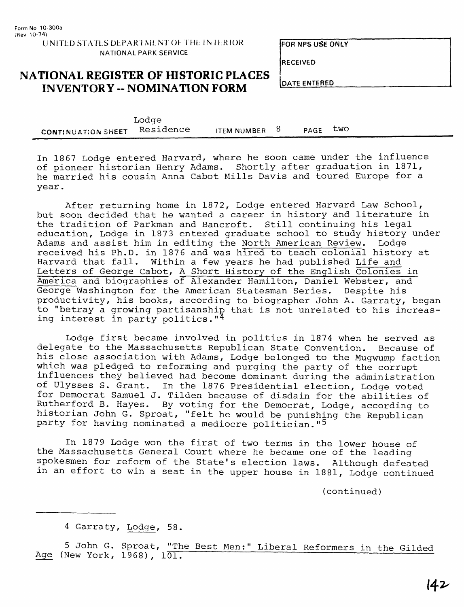#### **UNITED STATES DEPARTMENT OF THE IMTERIOR NATIONAL PARK SERVICE**

**FOR NPS USE ONLY**

**RECEIVED**

## **NATIONAL REGISTER OF HISTORIC PLACES**  $\begin{bmatrix} \text{DATE INVENTORY -- NOMINATION FORM \end{bmatrix}$

|                           | Lodge     |               |      |     |
|---------------------------|-----------|---------------|------|-----|
| <b>CONTINUATION SHEET</b> | Residence | ITEM NUMBER 8 | PAGE | two |

In 1867 Lodge entered Harvard, where he soon came under the influence of pioneer historian Henry Adams. Shortly after graduation in 1871, he married his cousin Anna Cabot Mills Davis and toured Europe for a year.

After returning home in 1872, Lodge entered Harvard Law School, but soon decided that he wanted a career in history and literature in the tradition of Parkman and Bancroft. Still continuing his legal education, Lodge in 1873 entered graduate school to study history under Adams and assist him in editing the North American Review. Lodge received his Ph.D. in 1876 and was hired to teach colonial history at Harvard that fall. Within a few years he had published Life and Letters of George Cabot, A Short History of the English Colonies in America and biographies of Alexander Hamilton, Daniel Webster, and George Washington for the American Statesman Series. Despite his productivity, his books, according to biographer John A. Garraty, began to "betray a growing partisanship that is not unrelated to his increasing interest in party politics." $4$ 

Lodge first became involved in politics in 1874 when he served as delegate to the Massachusetts Republican State Convention. Because of his close association with Adams, Lodge belonged to the Mugwump faction which was pledged to reforming and purging the party of the corrupt influences they believed had become dominant during the administration of Ulysses S. Grant. In the 1876 Presidential election, Lodge voted for Democrat Samuel J. Tilden because of disdain for the abilities of Rutherford B. Hayes. By voting for the Democrat, Lodge, according to historian John G. Sproat, "felt he would be punishing the Republican party for having nominated a mediocre politician." <sup>5</sup>

In 1879 Lodge won the first of two terms in the lower house of the Massachusetts General Court where he became one of the leading spokesmen for reform of the State's election laws. Although defeated in an effort to win a seat in the upper house in 1881, Lodge continued

(continued)

5 John G. Sproat, <u>"The Best Men:" Liberal Reformers in the Gilded</u><br>e (New York, 1968), 101.

<sup>4</sup> Garraty, Lodge, 58.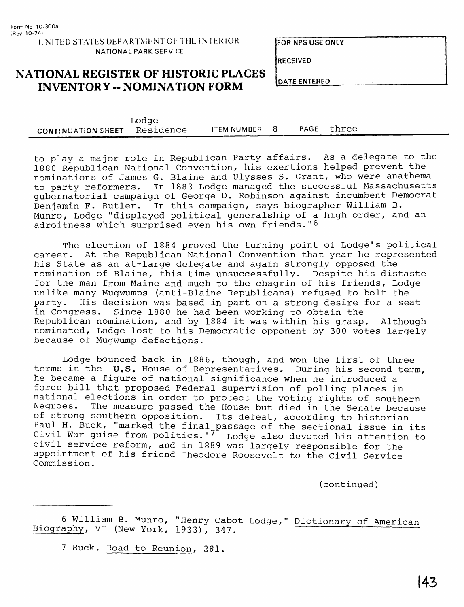**RECEIVED**

#### **NATIONAL REGISTER OF HISTORIC PLACES INVENTORY -- NOMINATION FORM**

**DATE ENTERED**

|                                     | Lodge |             |  |            |  |
|-------------------------------------|-------|-------------|--|------------|--|
| <b>CONTINUATION SHEET</b> Residence |       | ITEM NUMBER |  | PAGE three |  |

to play a major role in Republican Party affairs. As a delegate to the 1880 Republican National Convention, his exertions helped prevent the nominations of James G. Blaine and Ulysses S. Grant, who were anathema to party reformers. In 1883 Lodge managed the successful Massachusetts gubernatorial campaign of George D. Robinson against incumbent Democrat Benjamin F. Butler. In this campaign, says biographer William B. Munro, Lodge "displayed political generalship of a high order, and an adroitness which surprised even his own friends."6

The election of 1884 proved the turning point of Lodge's political career. At the Republican National Convention that year he represented his State as an at-large delegate and again strongly opposed the nomination of Blaine, this time unsuccessfully. Despite his distaste for the man from Maine and much to the chagrin of his friends, Lodge unlike many Mugwumps (anti-Blaine Republicans) refused to bolt the party. His decision was based in part on a strong desire for a seat<br>in Congress. Since 1880 he had been working to obtain the Since 1880 he had been working to obtain the Republican nomination, and by 1884 it was within his grasp. Although nominated, Lodge lost to his Democratic opponent by 300 votes largely because of Mugwump defections.

Lodge bounced back in 1886, though, and won the first of three terms in the  $U.S.$  House of Representatives. During his second term, he became a figure of national significance when he introduced a force bill that proposed Federal supervision of polling places in national elections in order to protect the voting rights of southern Negroes. The measure passed the House but died in the Senate because of strong southern opposition. Its defeat, according to historian Paul H. Buck, "marked the final passage of the sectional issue in its Civil War guise from politics."<sup>7</sup> Lodge also devoted his attention to civil service reform, and in 1889 was largely responsible for the appointment of his friend Theodore Roosevelt to the Civil Service Commission.

(continued)

6 William B. Munro, "Henry Cabot Lodge," Dictionary of American Biography, VI (New York, 1933), 347.

7 Buck, Road to Reunion, 281.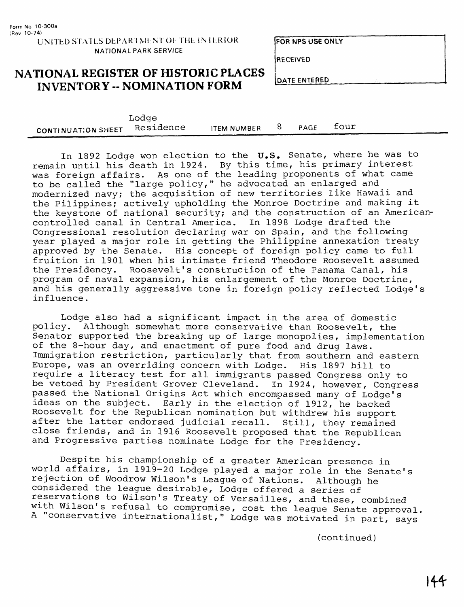**RECEIVED**

### **NATIONAL REGISTER OF HISTORIC PLACES INVENTORY -- NOMINATION FORM**

|                           | roqde     |                    |      |      |
|---------------------------|-----------|--------------------|------|------|
| <b>CONTINUATION SHEET</b> | Residence | <b>ITEM NUMBER</b> | PAGE | four |
|                           |           |                    |      |      |

In 1892 Lodge won election to the U.S. Senate, where he was to remain until his death in 1924. By this time, his primary interest was foreign affairs. As one of the leading proponents of what came to be called the "large policy," he advocated an enlarged and modernized navy; the acquisition of new territories like Hawaii and the Pilippines; actively upholding the Monroe Doctrine and making it the keystone of national security; and the construction of an Americancontrolled canal in Central America. In 1898 Lodge drafted the Congressional resolution declaring war on Spain, and the following year played a major role in getting the Philippine annexation treaty approved by the Senate. His concept of foreign policy came to full fruition in 1901 when his intimate friend Theodore Roosevelt assumed the Presidency. Roosevelt's construction of the Panama Canal, his program of naval expansion, his enlargement of the Monroe Doctrine, and his generally aggressive tone in foreign policy reflected Lodge's influence.

Lodge also had a significant impact in the area of domestic policy. Although somewhat more conservative than Roosevelt, the Senator supported the breaking up of large monopolies, implementation of the 8-hour day, and enactment of pure food and drug laws. Immigration restriction, particularly that from southern and eastern Europe, was an overriding concern with Lodge. His 1897 bill to require a literacy test for all immigrants passed Congress only to be vetoed by President Grover Cleveland. In 1924, however, Congress passed the National Origins Act which encompassed many of Lodge's ideas on the subject. Early in the election of 1912, he backed Roosevelt for the Republican nomination but withdrew his support after the latter endorsed judicial recall. Still, they remained close friends, and in 1916 Roosevelt proposed that the Republican and Progressive parties nominate Lodge for the Presidency.

Despite his championship of a greater American presence in world affairs, in 1919-20 Lodge played a major role in the Senate's rejection of Woodrow Wilson's League of Nations. Although he considered the league desirable, Lodge offered a series of reservations to Wilson's Treaty of Versailles, and these, combined with Wilson's refusal to compromise, cost the league Senate approval. A "conservative internationalist," Lodge was motivated in part, says

(continued)